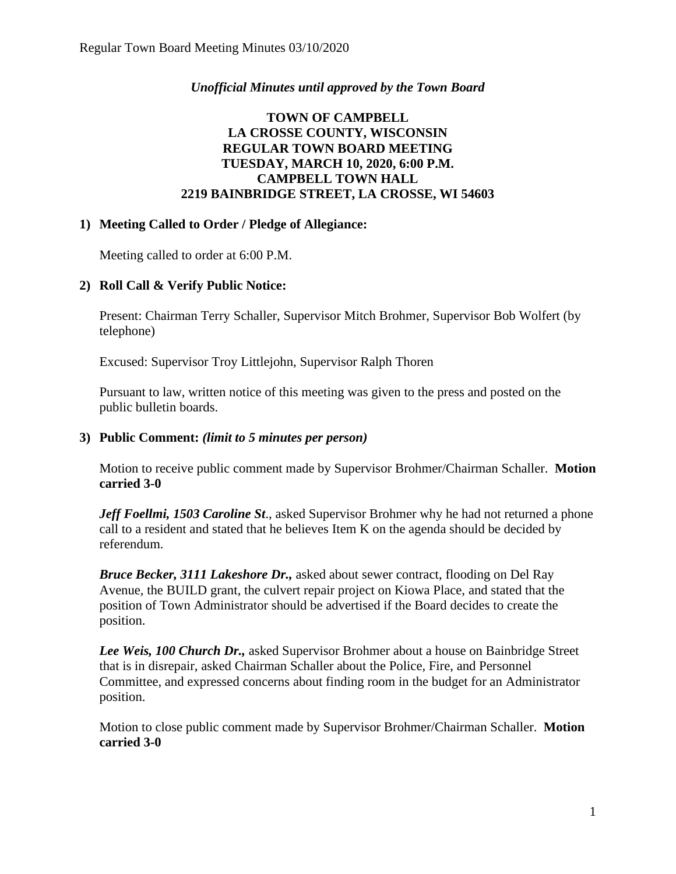# *Unofficial Minutes until approved by the Town Board*

# **TOWN OF CAMPBELL LA CROSSE COUNTY, WISCONSIN REGULAR TOWN BOARD MEETING TUESDAY, MARCH 10, 2020, 6:00 P.M. CAMPBELL TOWN HALL 2219 BAINBRIDGE STREET, LA CROSSE, WI 54603**

# **1) Meeting Called to Order / Pledge of Allegiance:**

Meeting called to order at 6:00 P.M.

# **2) Roll Call & Verify Public Notice:**

Present: Chairman Terry Schaller, Supervisor Mitch Brohmer, Supervisor Bob Wolfert (by telephone)

Excused: Supervisor Troy Littlejohn, Supervisor Ralph Thoren

Pursuant to law, written notice of this meeting was given to the press and posted on the public bulletin boards.

#### **3) Public Comment:** *(limit to 5 minutes per person)*

Motion to receive public comment made by Supervisor Brohmer/Chairman Schaller. **Motion carried 3-0**

*Jeff Foellmi, 1503 Caroline St*., asked Supervisor Brohmer why he had not returned a phone call to a resident and stated that he believes Item K on the agenda should be decided by referendum.

*Bruce Becker, 3111 Lakeshore Dr.,* asked about sewer contract, flooding on Del Ray Avenue, the BUILD grant, the culvert repair project on Kiowa Place, and stated that the position of Town Administrator should be advertised if the Board decides to create the position.

*Lee Weis, 100 Church Dr.,* asked Supervisor Brohmer about a house on Bainbridge Street that is in disrepair, asked Chairman Schaller about the Police, Fire, and Personnel Committee, and expressed concerns about finding room in the budget for an Administrator position.

Motion to close public comment made by Supervisor Brohmer/Chairman Schaller. **Motion carried 3-0**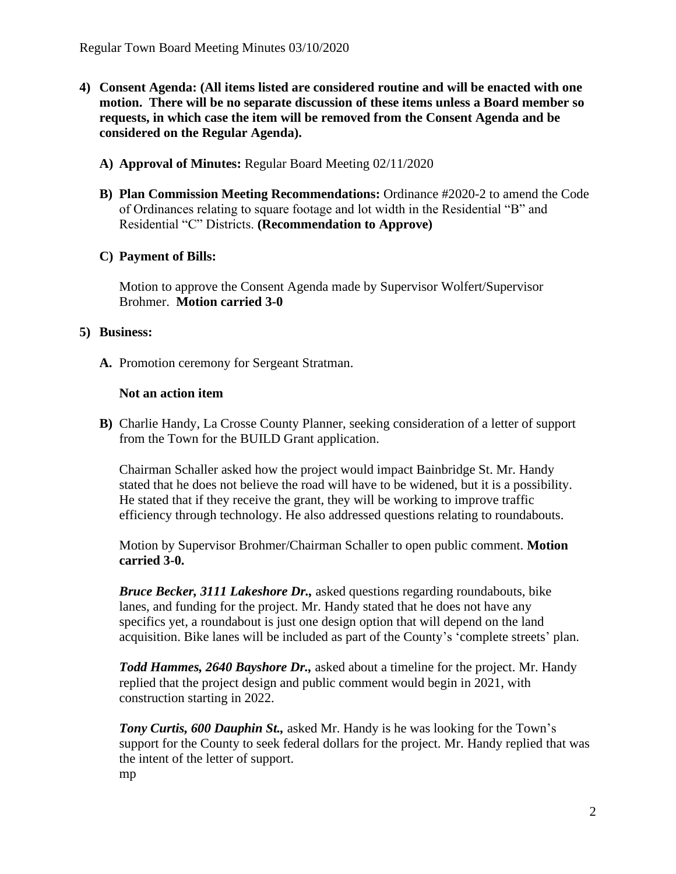- **4) Consent Agenda: (All items listed are considered routine and will be enacted with one motion. There will be no separate discussion of these items unless a Board member so requests, in which case the item will be removed from the Consent Agenda and be considered on the Regular Agenda).**
	- **A) Approval of Minutes:** Regular Board Meeting 02/11/2020
	- **B) Plan Commission Meeting Recommendations:** Ordinance #2020-2 to amend the Code of Ordinances relating to square footage and lot width in the Residential "B" and Residential "C" Districts. **(Recommendation to Approve)**
	- **C) Payment of Bills:**

Motion to approve the Consent Agenda made by Supervisor Wolfert/Supervisor Brohmer. **Motion carried 3-0** 

#### **5) Business:**

**A.** Promotion ceremony for Sergeant Stratman.

### **Not an action item**

**B)** Charlie Handy, La Crosse County Planner, seeking consideration of a letter of support from the Town for the BUILD Grant application.

Chairman Schaller asked how the project would impact Bainbridge St. Mr. Handy stated that he does not believe the road will have to be widened, but it is a possibility. He stated that if they receive the grant, they will be working to improve traffic efficiency through technology. He also addressed questions relating to roundabouts.

Motion by Supervisor Brohmer/Chairman Schaller to open public comment. **Motion carried 3-0.** 

*Bruce Becker, 3111 Lakeshore Dr.,* asked questions regarding roundabouts, bike lanes, and funding for the project. Mr. Handy stated that he does not have any specifics yet, a roundabout is just one design option that will depend on the land acquisition. Bike lanes will be included as part of the County's 'complete streets' plan.

*Todd Hammes, 2640 Bayshore Dr.,* asked about a timeline for the project. Mr. Handy replied that the project design and public comment would begin in 2021, with construction starting in 2022.

*Tony Curtis, 600 Dauphin St.,* asked Mr. Handy is he was looking for the Town's support for the County to seek federal dollars for the project. Mr. Handy replied that was the intent of the letter of support. mp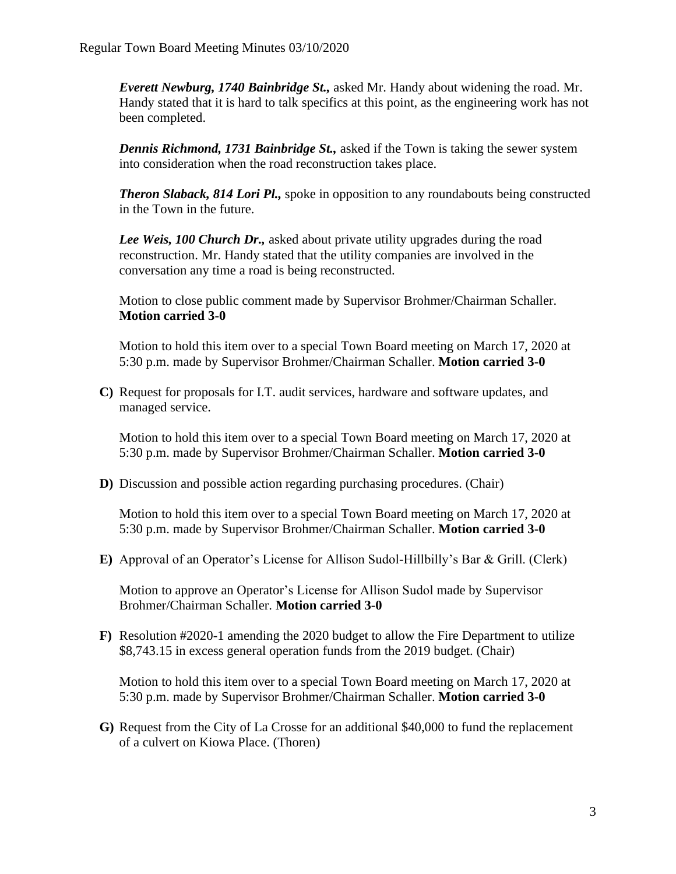*Everett Newburg, 1740 Bainbridge St.,* asked Mr. Handy about widening the road. Mr. Handy stated that it is hard to talk specifics at this point, as the engineering work has not been completed.

*Dennis Richmond, 1731 Bainbridge St.,* asked if the Town is taking the sewer system into consideration when the road reconstruction takes place.

*Theron Slaback, 814 Lori Pl.,* spoke in opposition to any roundabouts being constructed in the Town in the future.

*Lee Weis, 100 Church Dr.,* asked about private utility upgrades during the road reconstruction. Mr. Handy stated that the utility companies are involved in the conversation any time a road is being reconstructed.

Motion to close public comment made by Supervisor Brohmer/Chairman Schaller. **Motion carried 3-0**

Motion to hold this item over to a special Town Board meeting on March 17, 2020 at 5:30 p.m. made by Supervisor Brohmer/Chairman Schaller. **Motion carried 3-0**

**C)** Request for proposals for I.T. audit services, hardware and software updates, and managed service.

Motion to hold this item over to a special Town Board meeting on March 17, 2020 at 5:30 p.m. made by Supervisor Brohmer/Chairman Schaller. **Motion carried 3-0**

**D)** Discussion and possible action regarding purchasing procedures. (Chair)

Motion to hold this item over to a special Town Board meeting on March 17, 2020 at 5:30 p.m. made by Supervisor Brohmer/Chairman Schaller. **Motion carried 3-0**

**E)** Approval of an Operator's License for Allison Sudol-Hillbilly's Bar & Grill. (Clerk)

Motion to approve an Operator's License for Allison Sudol made by Supervisor Brohmer/Chairman Schaller. **Motion carried 3-0**

**F)** Resolution #2020-1 amending the 2020 budget to allow the Fire Department to utilize \$8,743.15 in excess general operation funds from the 2019 budget. (Chair)

Motion to hold this item over to a special Town Board meeting on March 17, 2020 at 5:30 p.m. made by Supervisor Brohmer/Chairman Schaller. **Motion carried 3-0**

**G)** Request from the City of La Crosse for an additional \$40,000 to fund the replacement of a culvert on Kiowa Place. (Thoren)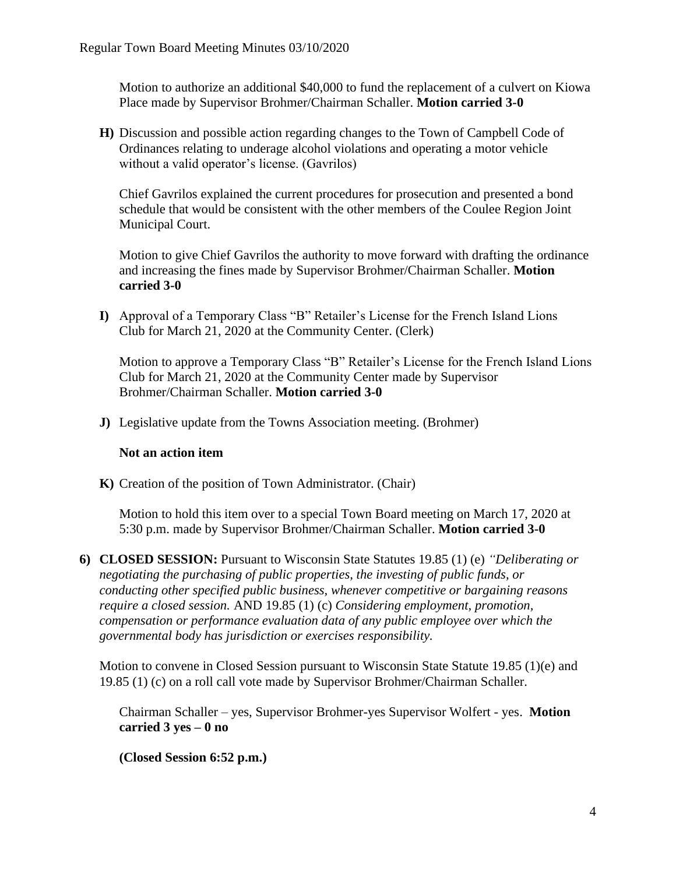Motion to authorize an additional \$40,000 to fund the replacement of a culvert on Kiowa Place made by Supervisor Brohmer/Chairman Schaller. **Motion carried 3-0**

**H)** Discussion and possible action regarding changes to the Town of Campbell Code of Ordinances relating to underage alcohol violations and operating a motor vehicle without a valid operator's license. (Gavrilos)

Chief Gavrilos explained the current procedures for prosecution and presented a bond schedule that would be consistent with the other members of the Coulee Region Joint Municipal Court.

Motion to give Chief Gavrilos the authority to move forward with drafting the ordinance and increasing the fines made by Supervisor Brohmer/Chairman Schaller. **Motion carried 3-0**

**I)** Approval of a Temporary Class "B" Retailer's License for the French Island Lions Club for March 21, 2020 at the Community Center. (Clerk)

Motion to approve a Temporary Class "B" Retailer's License for the French Island Lions Club for March 21, 2020 at the Community Center made by Supervisor Brohmer/Chairman Schaller. **Motion carried 3-0**

**J)** Legislative update from the Towns Association meeting. (Brohmer)

#### **Not an action item**

**K)** Creation of the position of Town Administrator. (Chair)

Motion to hold this item over to a special Town Board meeting on March 17, 2020 at 5:30 p.m. made by Supervisor Brohmer/Chairman Schaller. **Motion carried 3-0**

**6) CLOSED SESSION:** Pursuant to Wisconsin State Statutes 19.85 (1) (e) *"Deliberating or negotiating the purchasing of public properties, the investing of public funds, or conducting other specified public business, whenever competitive or bargaining reasons require a closed session.* AND 19.85 (1) (c) *Considering employment, promotion, compensation or performance evaluation data of any public employee over which the governmental body has jurisdiction or exercises responsibility.*

Motion to convene in Closed Session pursuant to Wisconsin State Statute 19.85 (1)(e) and 19.85 (1) (c) on a roll call vote made by Supervisor Brohmer/Chairman Schaller.

Chairman Schaller – yes, Supervisor Brohmer-yes Supervisor Wolfert - yes. **Motion carried 3 yes – 0 no** 

**(Closed Session 6:52 p.m.)**